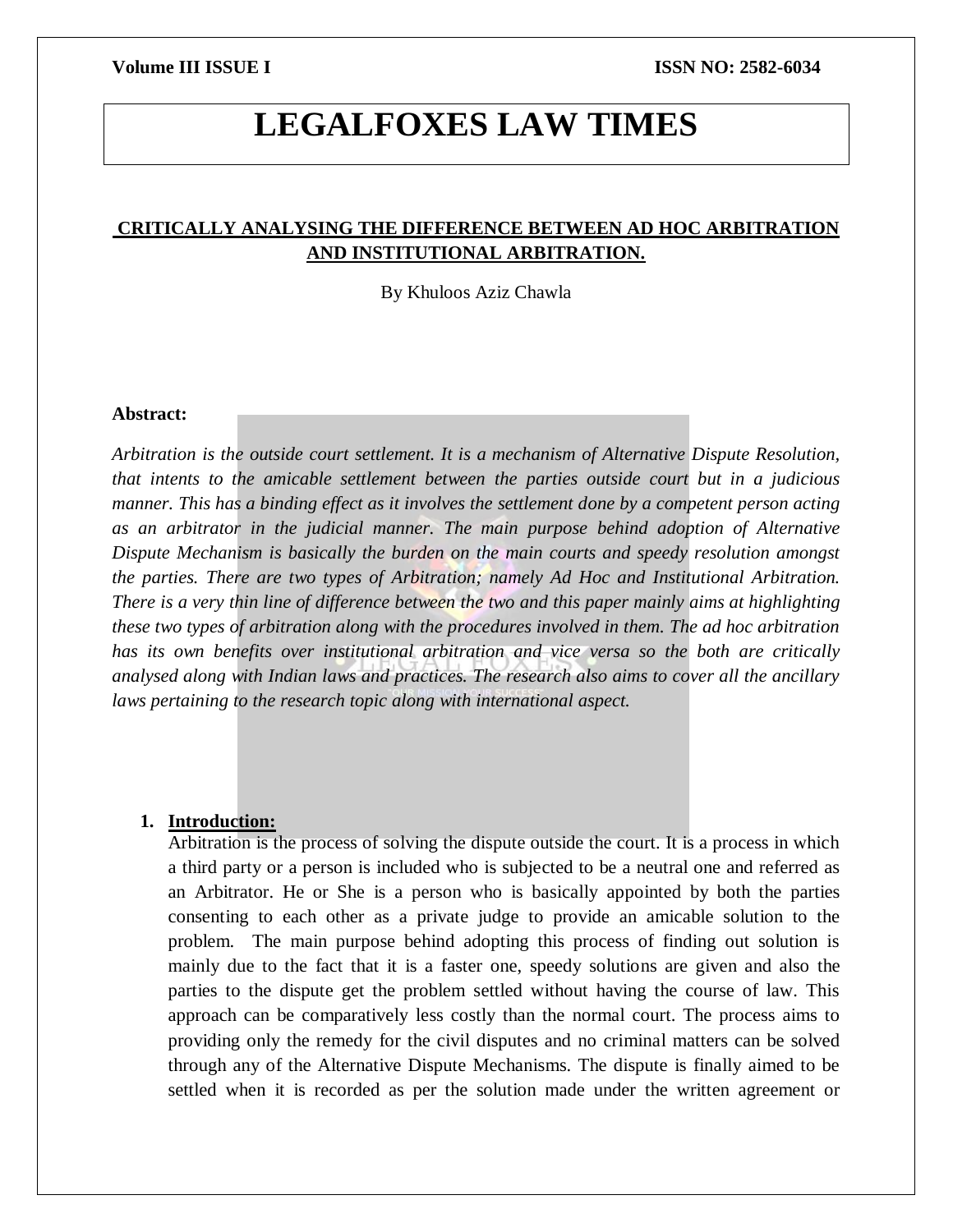# **LEGALFOXES LAW TIMES**

# **CRITICALLY ANALYSING THE DIFFERENCE BETWEEN AD HOC ARBITRATION AND INSTITUTIONAL ARBITRATION.**

By Khuloos Aziz Chawla

#### **Abstract:**

*Arbitration is the outside court settlement. It is a mechanism of Alternative Dispute Resolution, that intents to the amicable settlement between the parties outside court but in a judicious manner. This has a binding effect as it involves the settlement done by a competent person acting as an arbitrator in the judicial manner. The main purpose behind adoption of Alternative Dispute Mechanism is basically the burden on the main courts and speedy resolution amongst the parties. There are two types of Arbitration; namely Ad Hoc and Institutional Arbitration. There is a very thin line of difference between the two and this paper mainly aims at highlighting these two types of arbitration along with the procedures involved in them. The ad hoc arbitration has its own benefits over institutional arbitration and vice versa so the both are critically analysed along with Indian laws and practices. The research also aims to cover all the ancillary laws pertaining to the research topic along with international aspect.* 

### **1. Introduction:**

Arbitration is the process of solving the dispute outside the court. It is a process in which a third party or a person is included who is subjected to be a neutral one and referred as an Arbitrator. He or She is a person who is basically appointed by both the parties consenting to each other as a private judge to provide an amicable solution to the problem. The main purpose behind adopting this process of finding out solution is mainly due to the fact that it is a faster one, speedy solutions are given and also the parties to the dispute get the problem settled without having the course of law. This approach can be comparatively less costly than the normal court. The process aims to providing only the remedy for the civil disputes and no criminal matters can be solved through any of the Alternative Dispute Mechanisms. The dispute is finally aimed to be settled when it is recorded as per the solution made under the written agreement or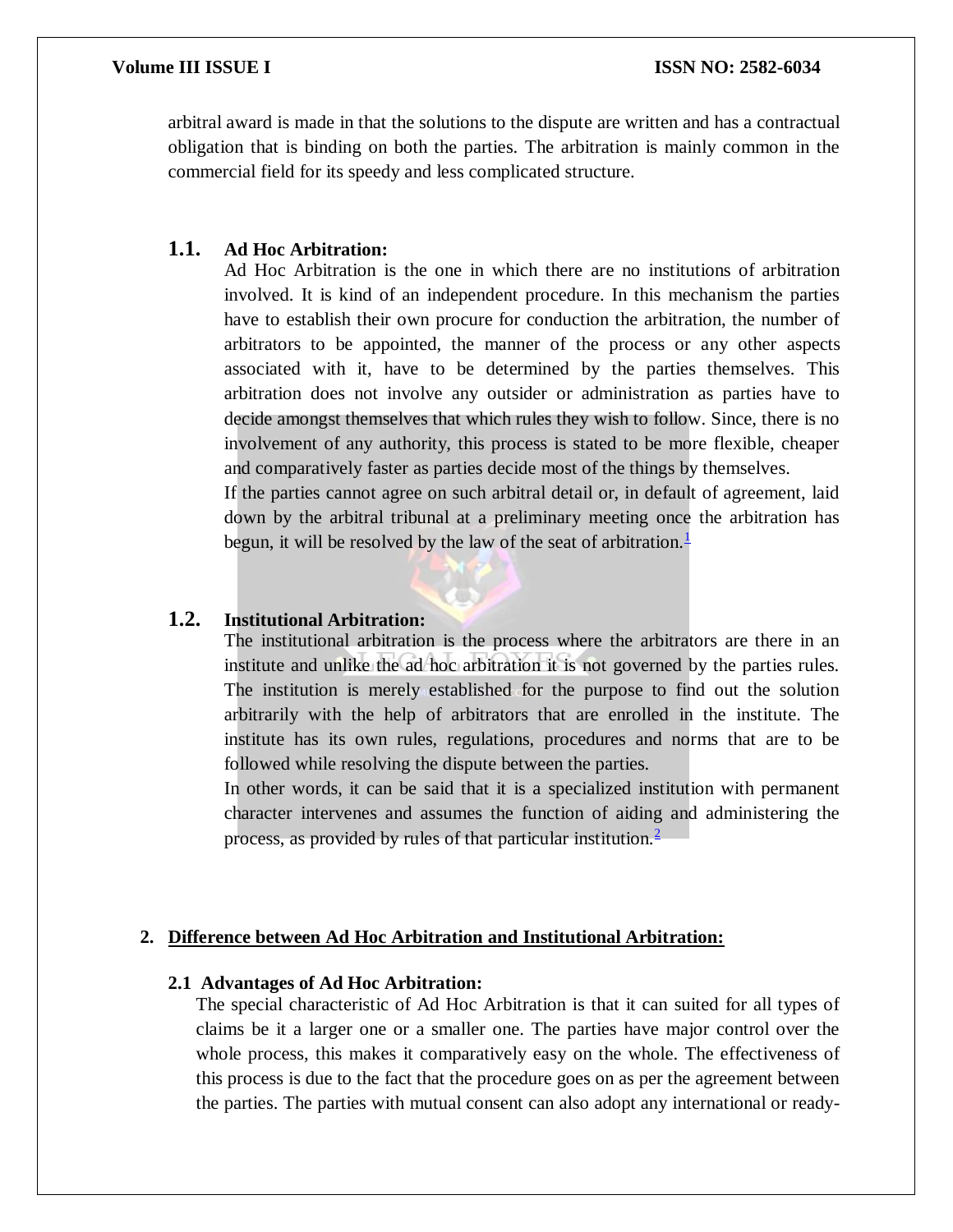arbitral award is made in that the solutions to the dispute are written and has a contractual obligation that is binding on both the parties. The arbitration is mainly common in the commercial field for its speedy and less complicated structure.

# **1.1. Ad Hoc Arbitration:**

Ad Hoc Arbitration is the one in which there are no institutions of arbitration involved. It is kind of an independent procedure. In this mechanism the parties have to establish their own procure for conduction the arbitration, the number of arbitrators to be appointed, the manner of the process or any other aspects associated with it, have to be determined by the parties themselves. This arbitration does not involve any outsider or administration as parties have to decide amongst themselves that which rules they wish to follow. Since, there is no involvement of any authority, this process is stated to be more flexible, cheaper and comparatively faster as parties decide most of the things by themselves.

If the parties cannot agree on such arbitral detail or, in default of agreement, laid down by the arbitral tribunal at a preliminary meeting once the arbitration has begun, it will be resolved by the law of the seat of arbitration.<sup>[1](https://viamediationcentre.org/readnews/NTI5/Ad-hoc-and-Institutional-Arbitration)</sup>

# **1.2. Institutional Arbitration:**

The institutional arbitration is the process where the arbitrators are there in an institute and unlike the ad hoc arbitration it is not governed by the parties rules. The institution is merely established for the purpose to find out the solution arbitrarily with the help of arbitrators that are enrolled in the institute. The institute has its own rules, regulations, procedures and norms that are to be followed while resolving the dispute between the parties.

In other words, it can be said that it is a specialized institution with permanent character intervenes and assumes the function of aiding and administering the process, as provided by rules of that particular institution.[2](https://www.latestlaws.com/wp-content/uploads/2018/09/Ad-Hoc-and-Institutional-Arbitration-By-Jyotsana-Uplavdiya.pdf)

### **2. Difference between Ad Hoc Arbitration and Institutional Arbitration:**

#### **2.1 Advantages of Ad Hoc Arbitration:**

The special characteristic of Ad Hoc Arbitration is that it can suited for all types of claims be it a larger one or a smaller one. The parties have major control over the whole process, this makes it comparatively easy on the whole. The effectiveness of this process is due to the fact that the procedure goes on as per the agreement between the parties. The parties with mutual consent can also adopt any international or ready-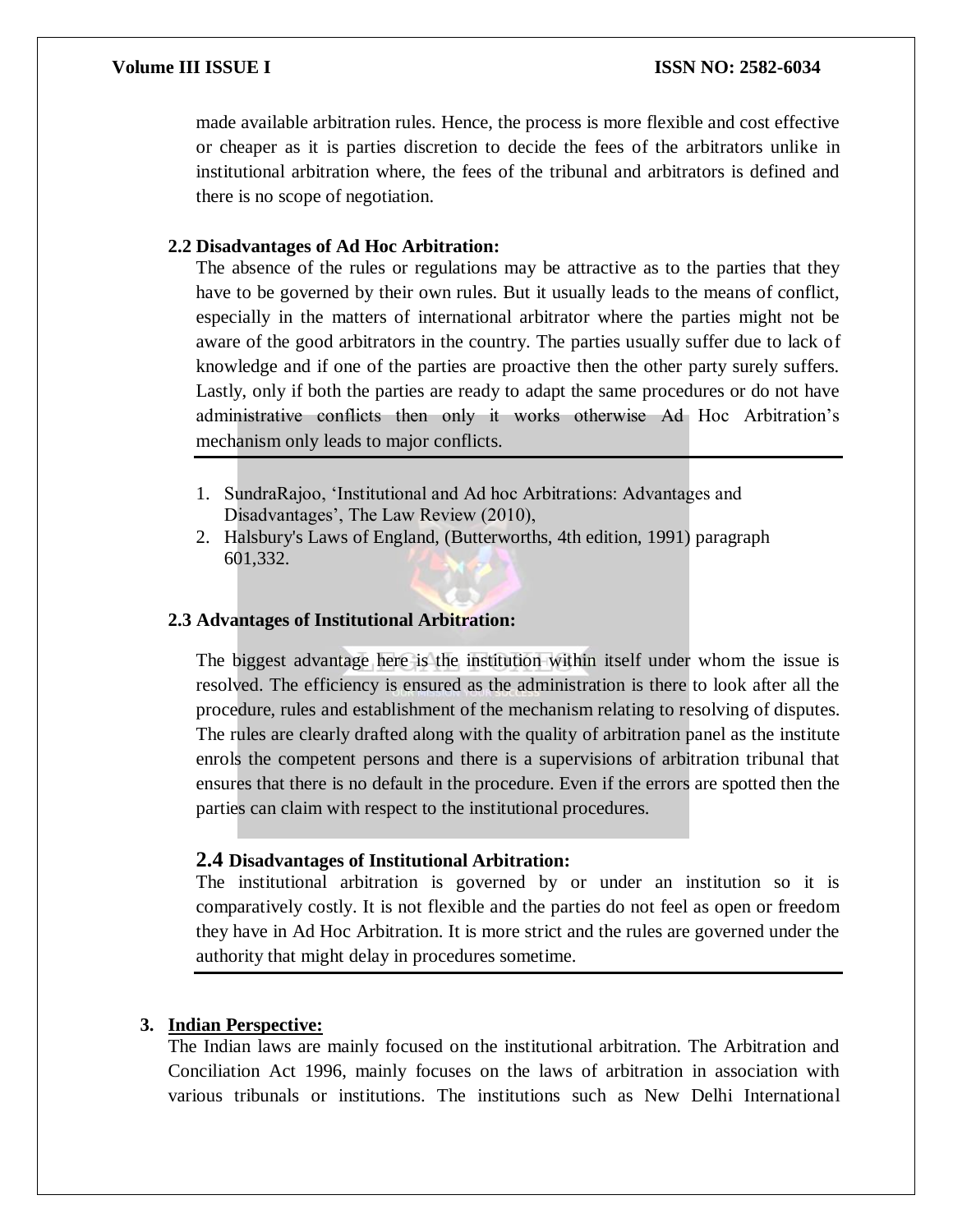### **Volume III ISSUE I ISSN NO: 2582-6034**

made available arbitration rules. Hence, the process is more flexible and cost effective or cheaper as it is parties discretion to decide the fees of the arbitrators unlike in institutional arbitration where, the fees of the tribunal and arbitrators is defined and there is no scope of negotiation.

### **2.2 Disadvantages of Ad Hoc Arbitration:**

The absence of the rules or regulations may be attractive as to the parties that they have to be governed by their own rules. But it usually leads to the means of conflict, especially in the matters of international arbitrator where the parties might not be aware of the good arbitrators in the country. The parties usually suffer due to lack of knowledge and if one of the parties are proactive then the other party surely suffers. Lastly, only if both the parties are ready to adapt the same procedures or do not have administrative conflicts then only it works otherwise Ad Hoc Arbitration's mechanism only leads to major conflicts.

- 1. SundraRajoo, 'Institutional and Ad hoc Arbitrations: Advantages and Disadvantages', The Law Review (2010),
- 2. Halsbury's Laws of England, (Butterworths, 4th edition, 1991) paragraph 601,332.

#### **2.3 Advantages of Institutional Arbitration:**

The biggest advantage here is the institution within itself under whom the issue is resolved. The efficiency is ensured as the administration is there to look after all the procedure, rules and establishment of the mechanism relating to resolving of disputes. The rules are clearly drafted along with the quality of arbitration panel as the institute enrols the competent persons and there is a supervisions of arbitration tribunal that ensures that there is no default in the procedure. Even if the errors are spotted then the parties can claim with respect to the institutional procedures.

### **2.4 Disadvantages of Institutional Arbitration:**

The institutional arbitration is governed by or under an institution so it is comparatively costly. It is not flexible and the parties do not feel as open or freedom they have in Ad Hoc Arbitration. It is more strict and the rules are governed under the authority that might delay in procedures sometime.

#### **3. Indian Perspective:**

The Indian laws are mainly focused on the institutional arbitration. The Arbitration and Conciliation Act 1996, mainly focuses on the laws of arbitration in association with various tribunals or institutions. The institutions such as New Delhi International